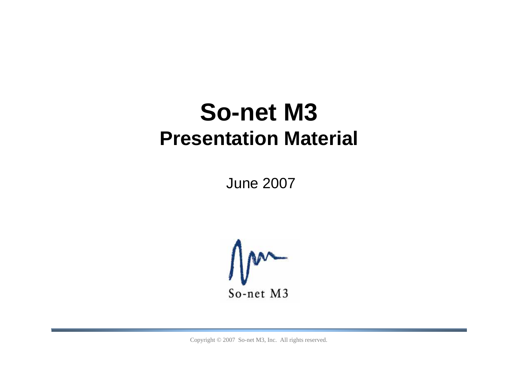# **So-net M3 Presentation Material**

June 2007

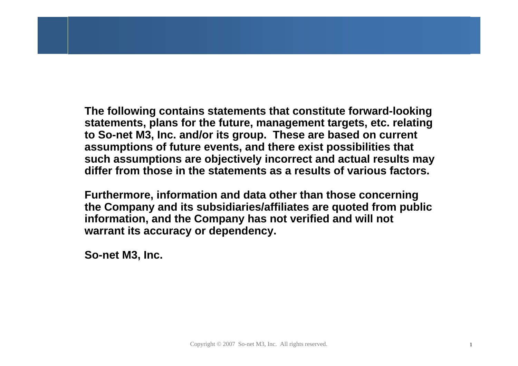**The following contains statements that constitute forward-looking statements, plans for the future, management targets, etc. relating to So-net M3, Inc. and/or its group. These are based on current assumptions of future events, and there exist possibilities that such assumptions are objectively incorrect and actual results may differ from those in the statements as a results of various factors.**

**Furthermore, information and data other than those concerning the Company and its subsidiaries/affiliates are quoted from public information, and the Company has not verified and will not warrant its accuracy or dependency.**

**So-net M3, Inc.**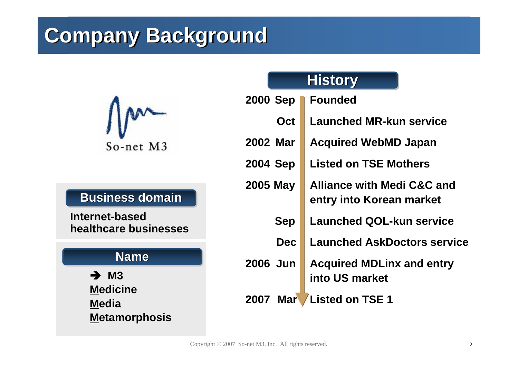# **Company Background Company Background**



#### **Business domain Business domain Business domain**

**Internet-based healthcare businesses**

#### **Name Name**

→ M3 **Medicine Media Metamorphosis**

#### **History History History**

| 2000 Sep                           | <b>Founded</b>                                                    |  |  |  |  |
|------------------------------------|-------------------------------------------------------------------|--|--|--|--|
| Oct                                | <b>Launched MR-kun service</b>                                    |  |  |  |  |
| 2002 Mar                           | <b>Acquired WebMD Japan</b>                                       |  |  |  |  |
| 2004 Sep                           | <b>Listed on TSE Mothers</b>                                      |  |  |  |  |
| 2005 May                           | <b>Alliance with Medi C&amp;C and</b><br>entry into Korean market |  |  |  |  |
| <b>Sep</b>                         | <b>Launched QOL-kun service</b>                                   |  |  |  |  |
| <b>Dec</b>                         | <b>Launched AskDoctors service</b>                                |  |  |  |  |
| 2006 Jun                           | <b>Acquired MDLinx and entry</b><br>into US market                |  |  |  |  |
| <b>2007 Mar</b><br>Listed on TSE 1 |                                                                   |  |  |  |  |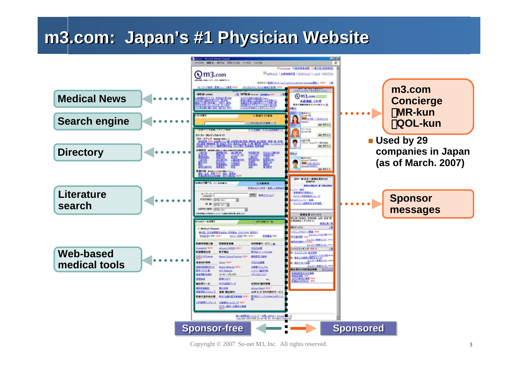## **m3.com: Japan's #1 Physician Website m3.com: Japan's #1 Physician Website**



Copyright © 2007 So-net M3, Inc. All rights reserved. 3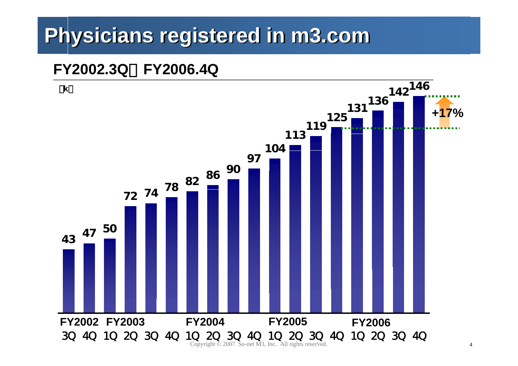# **Physicians registered in m3.com Physicians registered in m3.com**

## **FY2002.3Q**~**FY2006.4Q**

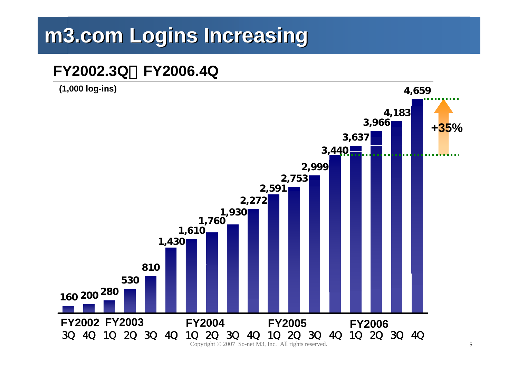# **m3.com Logins Increasing m3.com Logins Increasing**

### **FY2002.3Q**~**FY2006.4Q**

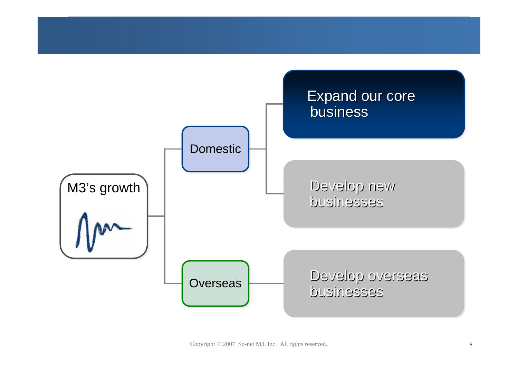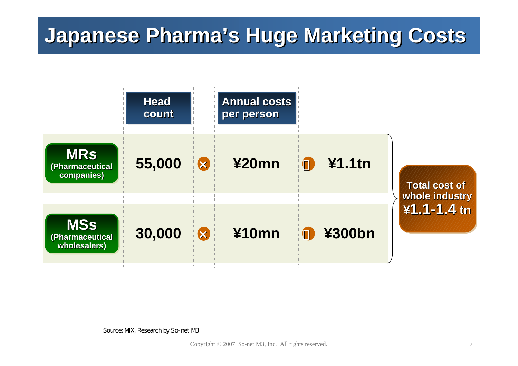# **Japanese Pharma's Huge Marketing Costs**

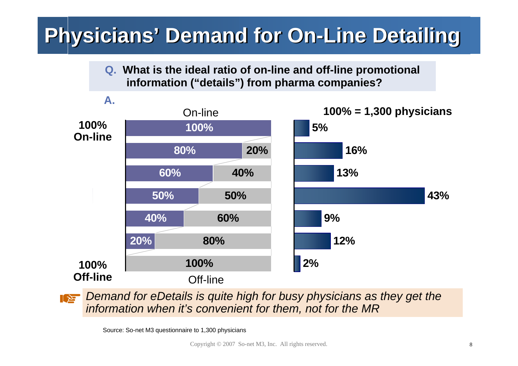# **Physicians' Demand for On-Line Detailing**

#### **Q. What is the ideal ratio of on-line and off-line promotional information ("details") from pharma companies?**



*Demand for eDetails is quite high for busy physicians as they get the*   $\mathbf{z}$ *information when it's convenient for them, not for the MR*

Source: So-net M3 questionnaire to 1,300 physicians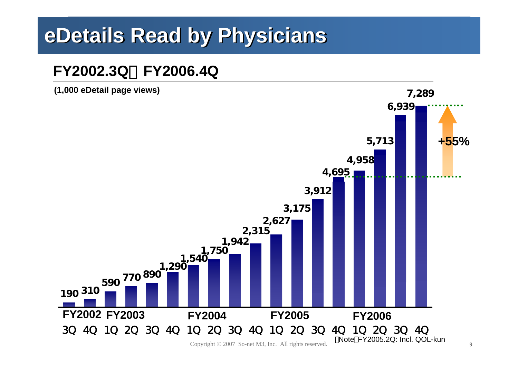# **eDetails eDetails Read by Physicians Read by Physicians**

## **FY2002.3Q**~**FY2006.4Q**



Copyright  $\odot$  2007 So-net M3, Inc. All rights reserved.  $\ddot{\bullet}$   $\ddot{\bullet}$   $\ddot{\bullet}$   $\ddot{\bullet}$   $\ddot{\bullet}$  9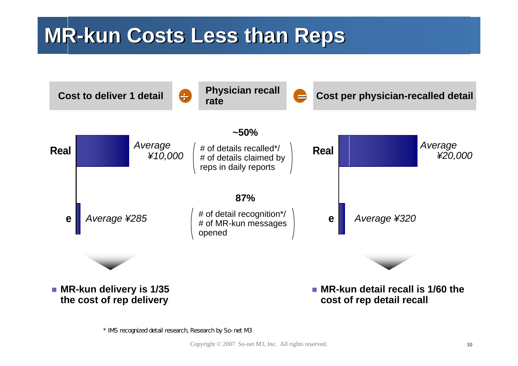## **MR-kun Costs Less than Reps MR-kun Costs Less than Reps**



\* IMS recognized detail research, Research by So-net M3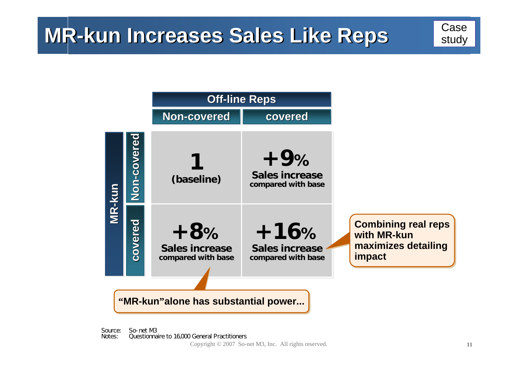

#### **""MR-kun MR-kun""alone alone has substantial power... has substantial power...**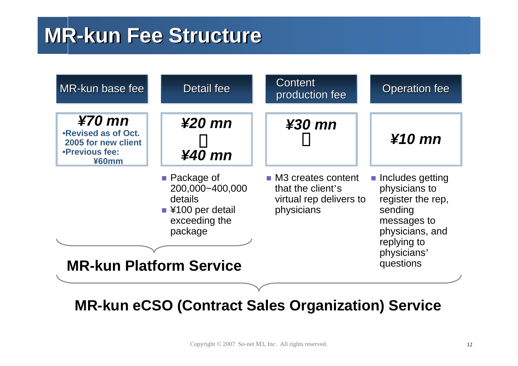## **MR-kun Fee Structure MR-kun Fee Structure**



**MR-kun eCSO (Contract Sales Organization) Service**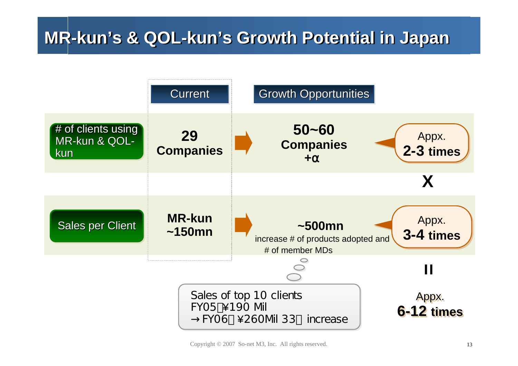## **MR-kun's & QOL-kun's Growth Potential in Japan MR-kun's & QOL-kun's Growth Potential in Japan**

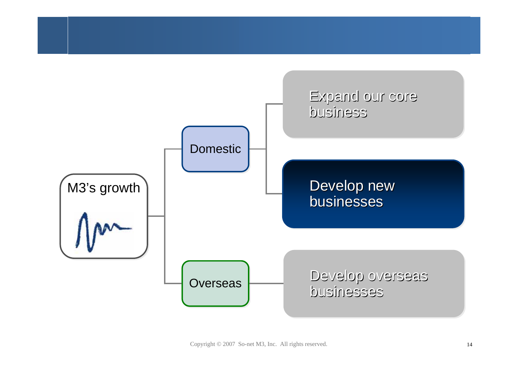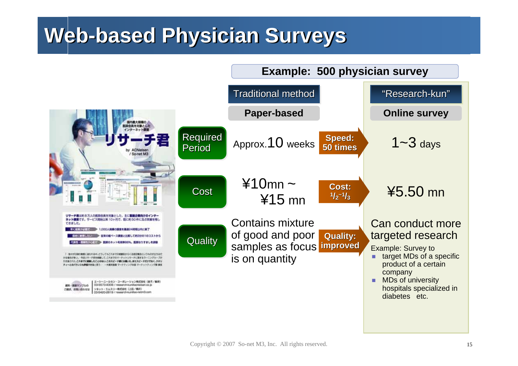## **Web-based Physician Surveys Web-based Physician Surveys**

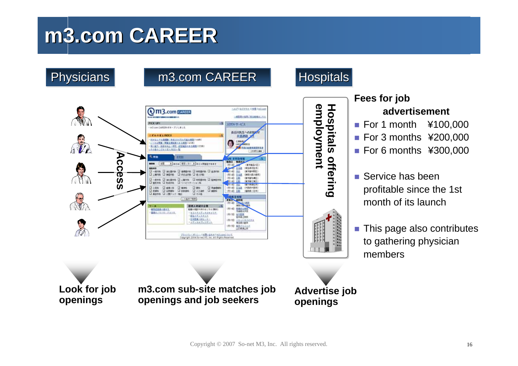## **m3.com CAREER m3.com CAREER**



#### **Fees for job advertisement**

- For 1 month ¥100,000
- For 3 months ¥200,000
- For 6 months ¥300,000
- Service has been profitable since the 1st month of its launch
- H This page also contributes to gathering physician members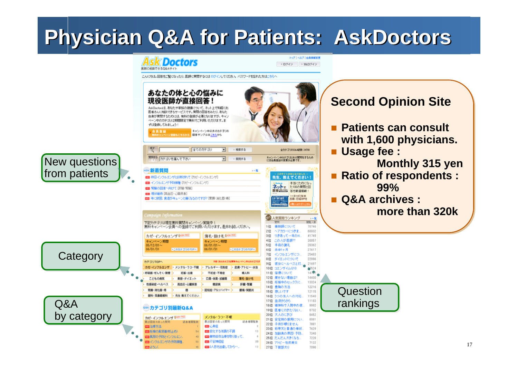# **Physician Q&A for Patients: AskDoctors Physician Q&A for Patients: AskDoctors**

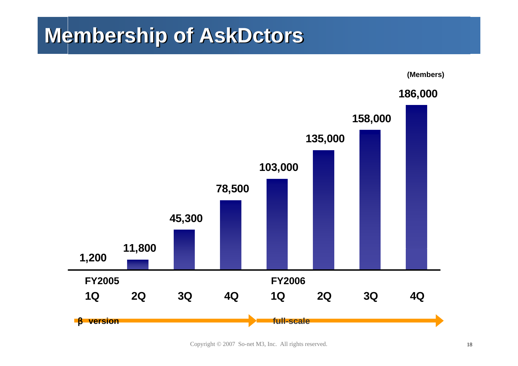## **Membership of AskDctors Membership of AskDctors**

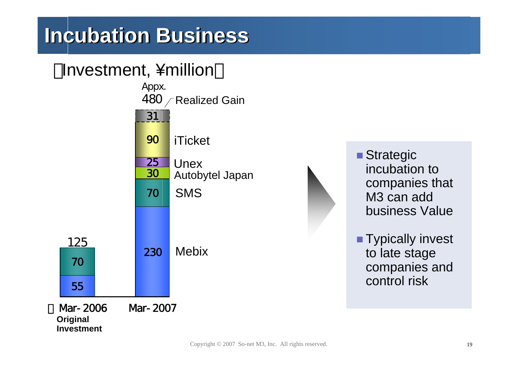# **Incubation Business**

## Investment, ¥million



**Original Investment**



■ Strategic incubation to companies that M3 can add business Value

**Typically invest** to late stage companies and control risk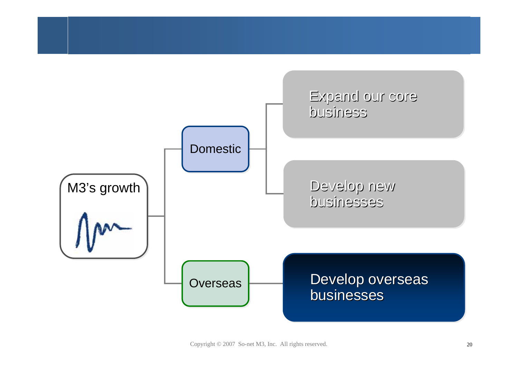

Copyright © 2007 So-net M3, Inc. All rights reserved. 20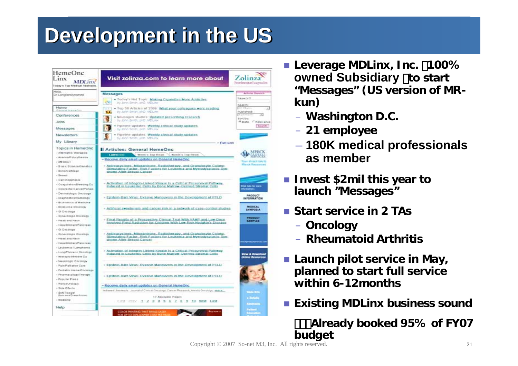# **Development in the US Development in the US**



- **E** Leverage MDLinx, Inc. 100% **owned Subsidiary** )**to start "Messages" (US version of MRkun)**
	- **Washington D.C.**
	- **21 employee**
	- **180K medical professionals as member**
- **Invest \$2mil this year to launch "Messages"**
- **Start service in 2 TAs**
	- **Oncology**
	- **Rheumatoid Arthritis**
- **Launch pilot service in May, planned to start full service within 6-12months**
- **Existing MDLinx business sound**

 ・・・**Already booked 95% of FY07 budget**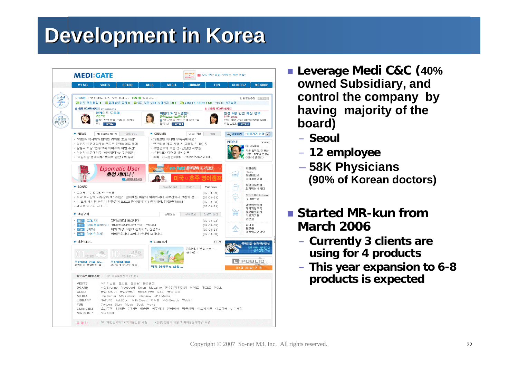# **Development in Korea Development in Korea**



- **Leverage Medi C&C (40% owned Subsidiary, and control the company by having majority of the board)**
	- **Seoul**
	- **12 employee**
	- **58K Physicians (90% of Korean doctors)**
- Started MR-kun from **March 2006**
	- **Currently 3 clients are using for 4 products**
	- **This year expansion to 6-8 products is expected**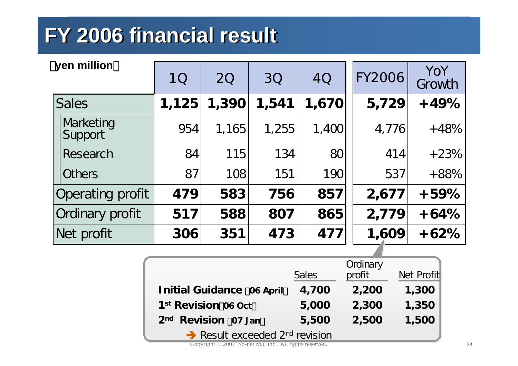# **FY 2006 financial result FY 2006 financial result**

| yen million |                      | 10    | <b>20</b> | 30    | 4Q    | <b>FY2006</b> | YoY<br>Growth |
|-------------|----------------------|-------|-----------|-------|-------|---------------|---------------|
|             | <b>Sales</b>         | 1,125 | 1,390     | 1,541 | 1,670 | 5,729         | $+49%$        |
|             | Marketing<br>Support | 954   | 1,165     | 1,255 | 1,400 | 4,776         | $+48%$        |
|             | Research             | 84    | 115       | 134   | 80    | 414           | $+23%$        |
|             | <b>Others</b>        | 87    | 108       | 151   | 190   | 537           | $+88%$        |
|             | Operating profit     | 479   | 583       | 756   | 857   | 2,677         | $+59%$        |
|             | Ordinary profit      | 517   | 588       | 807   | 865   | 2,779         | $+64%$        |
|             | Net profit           | 306   | 351       | 473   | 477   | 1,609         | $+62%$        |

|                                                        | <b>Sales</b> | Ordinary<br>profit | Net Profit |  |  |
|--------------------------------------------------------|--------------|--------------------|------------|--|--|
| <b>Initial Guidance 06 April</b>                       | 4,700        | 2,200              | 1,300      |  |  |
| 1st Revision 06 Oct                                    | 5,000        | 2,300              | 1,350      |  |  |
| <b>Revision 07 Jan</b><br>2 <sub>nd</sub>              | 5,500        | 2,500              | 1,500      |  |  |
| $\rightarrow$ Result exceeded 2 <sup>nd</sup> revision |              |                    |            |  |  |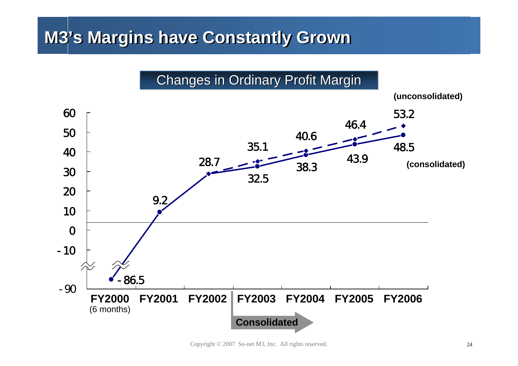## **M3's Margins have Constantly Grown M3's Margins have Constantly Grown**



Copyright © 2007 So-net M3, Inc. All rights reserved. <sup>24</sup>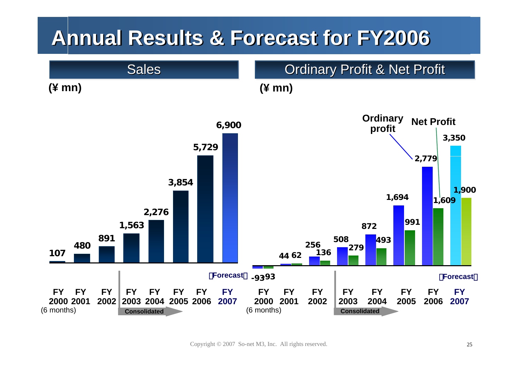## **Annual Results & Forecast for FY2006 Annual Results & Forecast for FY2006**